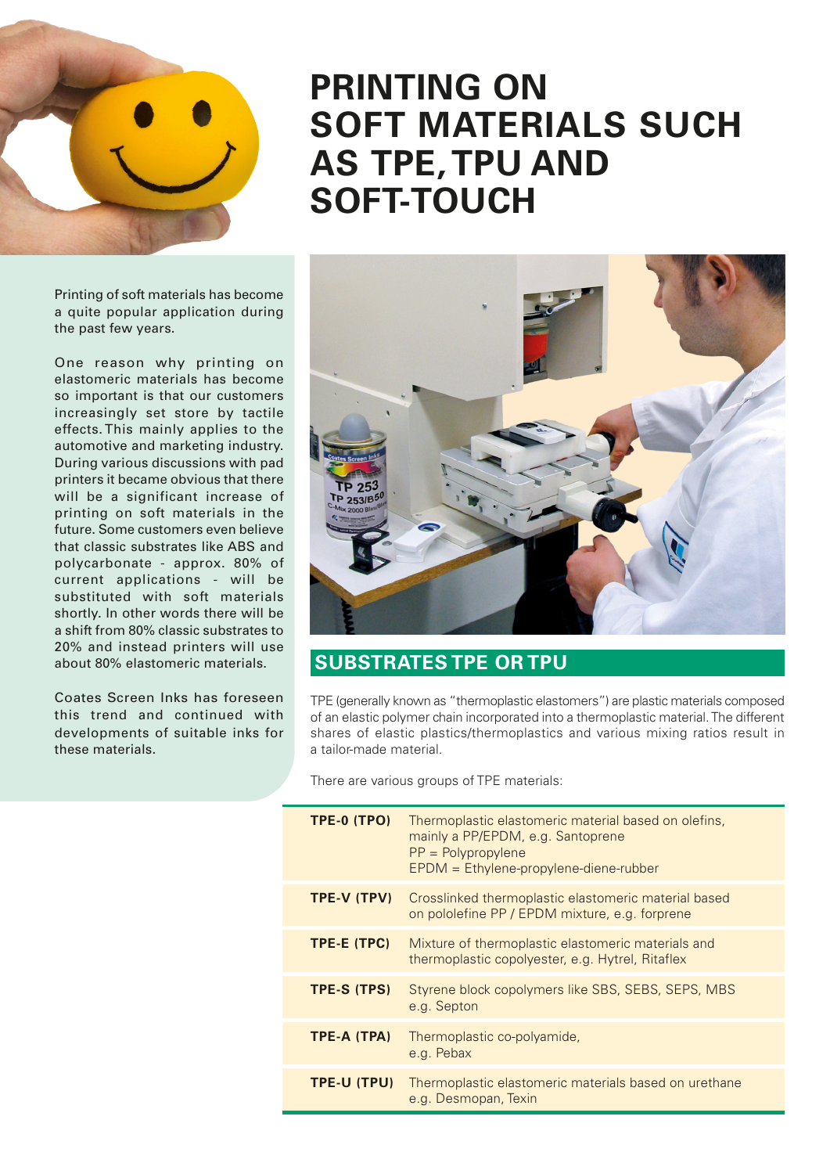

## Printing of soft materials has become a quite popular application during the past few years.

One reason why printing on elastomeric materials has become so important is that our customers increasingly set store by tactile effects. This mainly applies to the automotive and marketing industry. During various discussions with pad printers it became obvious that there will be a significant increase of printing on soft materials in the future. Some customers even believe that classic substrates like ABS and polycarbonate - approx. 80% of current applications - will be substituted with soft materials shortly. In other words there will be a shift from 80% classic substrates to 20% and instead printers will use about 80% elastomeric materials.

Coates Screen Inks has foreseen this trend and continued with developments of suitable inks for these materials.

## **PRINTING ON SOFT MATERIALS SUCH AS TPE,TPU AND SOFT-TOUCH**



## **SUBSTRATES TPE OR TPU**

TPE (generally known as "thermoplastic elastomers") are plastic materials composed of an elastic polymer chain incorporated into a thermoplastic material.The different shares of elastic plastics/thermoplastics and various mixing ratios result in a tailor-made material.

There are various groups of TPE materials:

| TPE-0 (TPO) | Thermoplastic elastomeric material based on olefins,<br>mainly a PP/EPDM, e.g. Santoprene<br>$PP = Polypropylene$<br>EPDM = Ethylene-propylene-diene-rubber |  |  |
|-------------|-------------------------------------------------------------------------------------------------------------------------------------------------------------|--|--|
| TPE-V (TPV) | Crosslinked thermoplastic elastomeric material based<br>on pololefine PP / EPDM mixture, e.g. forprene                                                      |  |  |
| TPE-E (TPC) | Mixture of thermoplastic elastomeric materials and<br>thermoplastic copolyester, e.g. Hytrel, Ritaflex                                                      |  |  |
| TPE-S (TPS) | Styrene block copolymers like SBS, SEBS, SEPS, MBS<br>e.g. Septon                                                                                           |  |  |
| TPE-A (TPA) | Thermoplastic co-polyamide,<br>e.g. Pebax                                                                                                                   |  |  |
| TPE-U (TPU) | Thermoplastic elastomeric materials based on urethane<br>e.g. Desmopan, Texin                                                                               |  |  |
|             |                                                                                                                                                             |  |  |